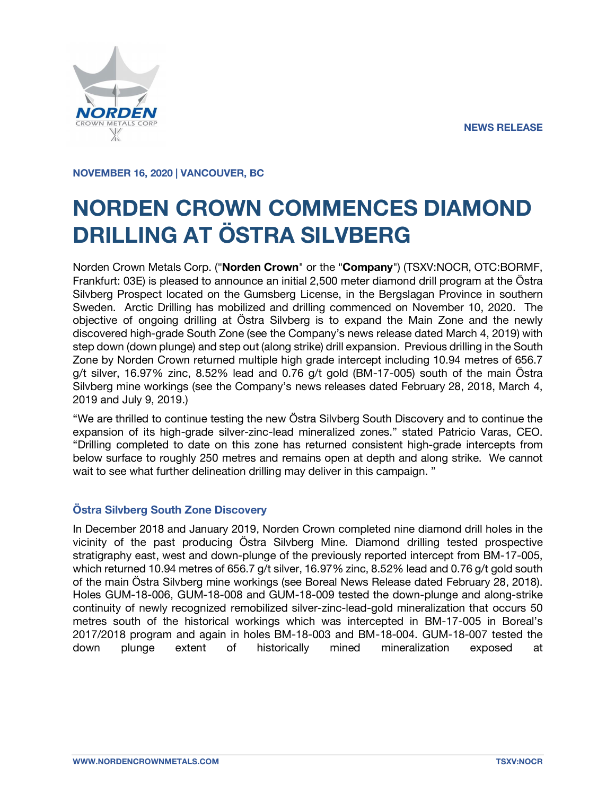

**NOVEMBER 16, 2020 | VANCOUVER, BC**

# **NORDEN CROWN COMMENCES DIAMOND DRILLING AT ÖSTRA SILVBERG**

Norden Crown Metals Corp. ("**Norden Crown**" or the "**Company**") (TSXV:NOCR, OTC:BORMF, Frankfurt: 03E) is pleased to announce an initial 2,500 meter diamond drill program at the Östra Silvberg Prospect located on the Gumsberg License, in the Bergslagan Province in southern Sweden. Arctic Drilling has mobilized and drilling commenced on November 10, 2020. The objective of ongoing drilling at Östra Silvberg is to expand the Main Zone and the newly discovered high-grade South Zone (see the Company's news release dated March 4, 2019) with step down (down plunge) and step out (along strike) drill expansion. Previous drilling in the South Zone by Norden Crown returned multiple high grade intercept including 10.94 metres of 656.7 g/t silver, 16.97% zinc, 8.52% lead and 0.76 g/t gold (BM-17-005) south of the main Östra Silvberg mine workings (see the Company's news releases dated February 28, 2018, March 4, 2019 and July 9, 2019.)

"We are thrilled to continue testing the new Östra Silvberg South Discovery and to continue the expansion of its high-grade silver-zinc-lead mineralized zones." stated Patricio Varas, CEO. "Drilling completed to date on this zone has returned consistent high-grade intercepts from below surface to roughly 250 metres and remains open at depth and along strike. We cannot wait to see what further delineation drilling may deliver in this campaign."

# **Östra Silvberg South Zone Discovery**

In December 2018 and January 2019, Norden Crown completed nine diamond drill holes in the vicinity of the past producing Östra Silvberg Mine. Diamond drilling tested prospective stratigraphy east, west and down-plunge of the previously reported intercept from BM-17-005, which returned 10.94 metres of 656.7 g/t silver, 16.97% zinc, 8.52% lead and 0.76 g/t gold south of the main Östra Silvberg mine workings (see Boreal News Release dated February 28, 2018). Holes GUM-18-006, GUM-18-008 and GUM-18-009 tested the down-plunge and along-strike continuity of newly recognized remobilized silver-zinc-lead-gold mineralization that occurs 50 metres south of the historical workings which was intercepted in BM-17-005 in Boreal's 2017/2018 program and again in holes BM-18-003 and BM-18-004. GUM-18-007 tested the down plunge extent of historically mined mineralization exposed at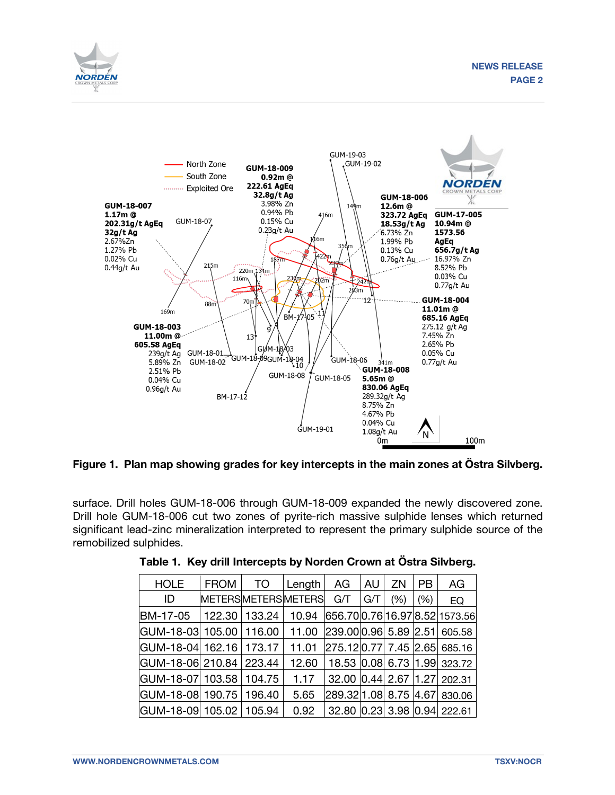



**Figure 1. Plan map showing grades for key intercepts in the main zones at Östra Silvberg.**

surface. Drill holes GUM-18-006 through GUM-18-009 expanded the newly discovered zone. Drill hole GUM-18-006 cut two zones of pyrite-rich massive sulphide lenses which returned significant lead-zinc mineralization interpreted to represent the primary sulphide source of the remobilized sulphides.

| <b>HOLE</b>             | <b>FROM</b>        | <b>TO</b>     | Length | AG                          | AU  | ZN.  | <b>PB</b> | AG                                  |
|-------------------------|--------------------|---------------|--------|-----------------------------|-----|------|-----------|-------------------------------------|
| ID                      | METERSMETERSMETERS |               |        | G/T                         | G/T | (% ) | (% )      | EQ                                  |
| BM-17-05                |                    | 122.30 133.24 | 10.94  |                             |     |      |           | 656.700.7616.978.521573.56          |
| GUM-18-03 105.00 116.00 |                    |               | 11.00  |                             |     |      |           | 239.00 0.96 5.89 2.51 605.58        |
| GUM-18-04 162.16        |                    | 173.17        | 11.01  |                             |     |      |           | 275.12 0.77 7.45 2.65 685.16        |
| GUM-18-06 210.84 223.44 |                    |               | 12.60  |                             |     |      |           | 18.53   0.08   6.73   1.99   323.72 |
| GUM-18-07 103.58        |                    | 104.75        | 1.17   | 32.00 0.44 2.67 1.27 202.31 |     |      |           |                                     |
| GUM-18-08 190.75        |                    | 196.40        | 5.65   |                             |     |      |           | 289.32 1.08 8.75 4.67 830.06        |
| GUM-18-09 105.02 105.94 |                    |               | 0.92   |                             |     |      |           | 32.80 0.23 3.98 0.94 222.61         |

|  |  | Table 1. Key drill Intercepts by Norden Crown at Ostra Silvberg. |  |  |  |  |
|--|--|------------------------------------------------------------------|--|--|--|--|
|--|--|------------------------------------------------------------------|--|--|--|--|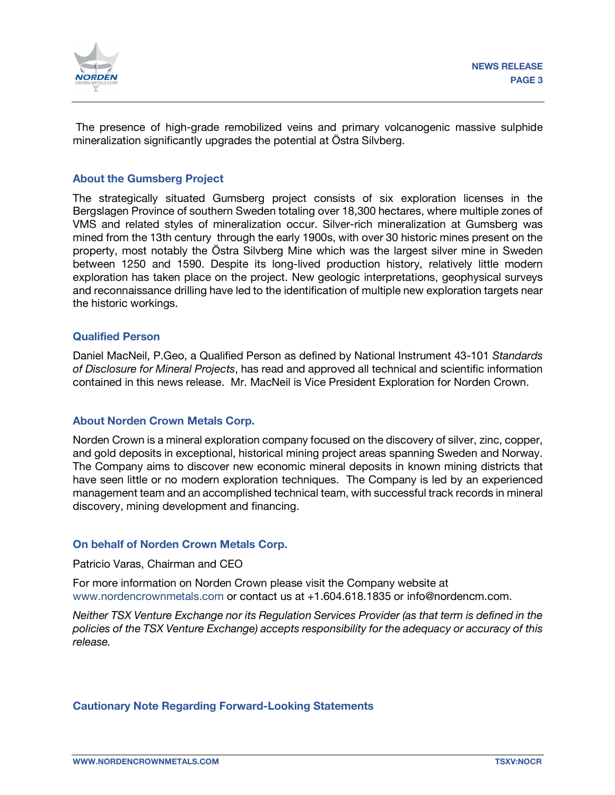

The presence of high-grade remobilized veins and primary volcanogenic massive sulphide mineralization significantly upgrades the potential at Östra Silvberg.

## **About the Gumsberg Project**

The strategically situated Gumsberg project consists of six exploration licenses in the Bergslagen Province of southern Sweden totaling over 18,300 hectares, where multiple zones of VMS and related styles of mineralization occur. Silver-rich mineralization at Gumsberg was mined from the 13th century through the early 1900s, with over 30 historic mines present on the property, most notably the Östra Silvberg Mine which was the largest silver mine in Sweden between 1250 and 1590. Despite its long-lived production history, relatively little modern exploration has taken place on the project. New geologic interpretations, geophysical surveys and reconnaissance drilling have led to the identification of multiple new exploration targets near the historic workings.

#### **Qualified Person**

Daniel MacNeil, P.Geo, a Qualified Person as defined by National Instrument 43-101 *Standards of Disclosure for Mineral Projects*, has read and approved all technical and scientific information contained in this news release. Mr. MacNeil is Vice President Exploration for Norden Crown.

#### **About Norden Crown Metals Corp.**

Norden Crown is a mineral exploration company focused on the discovery of silver, zinc, copper, and gold deposits in exceptional, historical mining project areas spanning Sweden and Norway. The Company aims to discover new economic mineral deposits in known mining districts that have seen little or no modern exploration techniques. The Company is led by an experienced management team and an accomplished technical team, with successful track records in mineral discovery, mining development and financing.

## **On behalf of Norden Crown Metals Corp.**

#### Patricio Varas, Chairman and CEO

For more information on Norden Crown please visit the Company website at www.nordencrownmetals.com or contact us at +1.604.618.1835 or info@nordencm.com.

*Neither TSX Venture Exchange nor its Regulation Services Provider (as that term is defined in the policies of the TSX Venture Exchange) accepts responsibility for the adequacy or accuracy of this release.* 

#### **Cautionary Note Regarding Forward-Looking Statements**